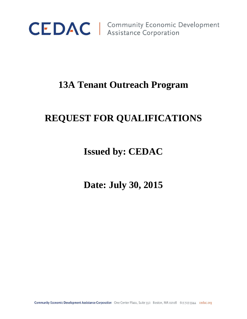

CEDAC | Community Economic Development

# **13A Tenant Outreach Program**

# **REQUEST FOR QUALIFICATIONS**

# **Issued by: CEDAC**

**Date: July 30, 2015**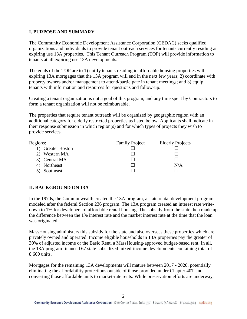### **I. PURPOSE AND SUMMARY**

The Community Economic Development Assistance Corporation (CEDAC) seeks qualified organizations and individuals to provide tenant outreach services for tenants currently residing at expiring use 13A properties. This Tenant Outreach Program (TOP) will provide information to tenants at all expiring use 13A developments.

The goals of the TOP are to 1) notify tenants residing in affordable housing properties with expiring 13A mortgages that the 13A program will end in the next few years; 2) coordinate with property owners and/or management to attend/participate in tenant meetings; and 3) equip tenants with information and resources for questions and follow-up.

Creating a tenant organization is not a goal of this program, and any time spent by Contractors to form a tenant organization will not be reimbursable.

The properties that require tenant outreach will be organized by geographic region with an additional category for elderly restricted properties as listed below. Applicants shall indicate in their response submission in which region(s) and for which types of projects they wish to provide services.

| <b>Family Project</b> | <b>Elderly Projects</b> |
|-----------------------|-------------------------|
|                       |                         |
|                       |                         |
|                       |                         |
|                       | N/A                     |
|                       |                         |
|                       |                         |

# **II. BACKGROUND ON 13A**

In the 1970s, the Commonwealth created the 13A program, a state rental development program modeled after the federal Section 236 program. The 13A program created an interest rate writedown to 1% for developers of affordable rental housing. The subsidy from the state then made up the difference between the 1% interest rate and the market interest rate at the time that the loan was originated.

MassHousing administers this subsidy for the state and also oversees these properties which are privately owned and operated. Income eligible households in 13A properties pay the greater of 30% of adjusted income or the Basic Rent, a MassHousing-approved budget-based rent. In all, the 13A program financed 67 state-subsidized mixed-income developments containing total of 8,600 units.

Mortgages for the remaining 13A developments will mature between 2017 - 2020, potentially eliminating the affordability protections outside of those provided under Chapter 40T and converting those affordable units to market-rate rents. While preservation efforts are underway,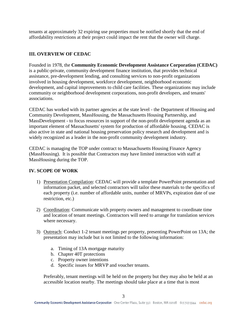tenants at approximately 32 expiring use properties must be notified shortly that the end of affordability restrictions at their project could impact the rent that the owner will charge.

# **III. OVERVIEW OF CEDAC**

Founded in 1978, the **Community Economic Development Assistance Corporation (CEDAC)** is a public-private, community development finance institution, that provides technical assistance, pre-development lending, and consulting services to non-profit organizations involved in housing development, workforce development, neighborhood economic development, and capital improvements to child care facilities. These organizations may include community or neighborhood development corporations, non-profit developers, and tenants' associations.

CEDAC has worked with its partner agencies at the state level - the Department of Housing and Community Development, MassHousing, the Massachusetts Housing Partnership, and MassDevelopment - to focus resources in support of the non-profit development agenda as an important element of Massachusetts' system for production of affordable housing. CEDAC is also active in state and national housing preservation policy research and development and is widely recognized as a leader in the non-profit community development industry.

CEDAC is managing the TOP under contract to Massachusetts Housing Finance Agency (MassHousing).It is possible that Contractors may have limited interaction with staff at MassHousing during the TOP.

## **IV. SCOPE OF WORK**

- 1) Presentation Compilation: CEDAC will provide a template PowerPoint presentation and information packet, and selected contractors will tailor these materials to the specifics of each property (i.e. number of affordable units, number of MRVPs, expiration date of use restriction, etc.)
- 2) Coordination: Communicate with property owners and management to coordinate time and location of tenant meetings. Contractors will need to arrange for translation services where necessary.
- 3) Outreach: Conduct 1-2 tenant meetings per property, presenting PowerPoint on 13A; the presentation may include but is not limited to the following information:
	- a. Timing of 13A mortgage maturity
	- b. Chapter 40T protections
	- c. Property owner intentions
	- d. Specific issues for MRVP and voucher tenants.

Preferably, tenant meetings will be held on the property but they may also be held at an accessible location nearby. The meetings should take place at a time that is most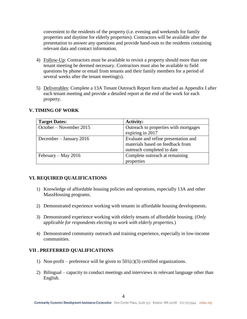convenient to the residents of the property (i.e. evening and weekends for family properties and daytime for elderly properties). Contractors will be available after the presentation to answer any questions and provide hand-outs to the residents containing relevant data and contact information.

- 4) Follow-Up: Contractors must be available to revisit a property should more than one tenant meeting be deemed necessary. Contractors must also be available to field questions by phone or email from tenants and their family members for a period of several weeks after the tenant meeting(s).
- 5) Deliverables: Complete a 13A Tenant Outreach Report form attached as Appendix I after each tenant meeting and provide a detailed report at the end of the work for each property.

| <b>Target Dates:</b>    | <b>Activity:</b>                      |  |
|-------------------------|---------------------------------------|--|
| October – November 2015 | Outreach to properties with mortgages |  |
|                         | expiring in 2017                      |  |
| December - January 2016 | Evaluate and refine presentation and  |  |
|                         | materials based on feedback from      |  |
|                         | outreach completed to date            |  |
| February – May 2016     | Complete outreach at remaining        |  |
|                         | properties                            |  |

### **V. TIMING OF WORK**

## **VI. REQUIRED QUALIFICATIONS**

- 1) Knowledge of affordable housing policies and operations, especially 13A and other MassHousing programs.
- 2) Demonstrated experience working with tenants in affordable housing developments.
- 3) Demonstrated experience working with elderly tenants of affordable housing. (*Only applicable for respondents electing to work with elderly properties.*)
- 4) Demonstrated community outreach and training experience, especially in low-income communities.

# **VII . PREFERRED QUALIFICATIONS**

- 1) Non-profit preference will be given to  $501(c)(3)$  certified organizations.
- 2) Bilingual capacity to conduct meetings and interviews in relevant language other than English.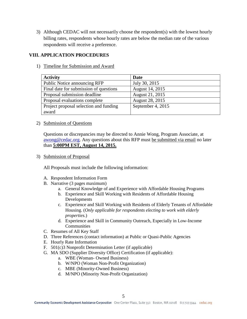3) Although CEDAC will not necessarily choose the respondent(s) with the lowest hourly billing rates, respondents whose hourly rates are below the median rate of the various respondents will receive a preference.

### **VIII. APPLICATION PROCEDURES**

1) Timeline for Submission and Award

| <b>Activity</b>                        | <b>Date</b>       |
|----------------------------------------|-------------------|
| Public Notice announcing RFP           | July 30, 2015     |
| Final date for submission of questions | August 14, 2015   |
| Proposal submission deadline           | August 21, 2015   |
| Proposal evaluations complete          | August 28, 2015   |
| Project proposal selection and funding | September 4, 2015 |
| award                                  |                   |

2) Submission of Questions

Questions or discrepancies may be directed to Annie Wong, Program Associate, at [awong@cedac.org.](mailto:awong@cedac.org) Any questions about this RFP must be submitted via email no later than **5:00PM EST, August 14, 2015.**

3) Submission of Proposal

All Proposals must include the following information:

- A. Respondent Information Form
- B. Narrative (3 pages maximum)
	- a. General Knowledge of and Experience with Affordable Housing Programs
	- b. Experience and Skill Working with Residents of Affordable Housing Developments
	- c. Experience and Skill Working with Residents of Elderly Tenants of Affordable Housing. (*Only applicable for respondents electing to work with elderly properties.*)
	- d. Experience and Skill in Community Outreach, Especially in Low-Income Communities
- C. Resumes of All Key Staff
- D. Three References (contact information) at Public or Quasi-Public Agencies
- E. Hourly Rate Information
- F. 501(c)3 Nonprofit Determination Letter (if applicable)
- G. MA SDO (Supplier Diversity Office) Certification (if applicable):
	- a. WBE (Woman- Owned Business)
	- b. W/NPO (Woman Non-Profit Organization)
	- c. MBE (Minority-Owned Business)
	- d. M/NPO (Minority Non-Profit Organization)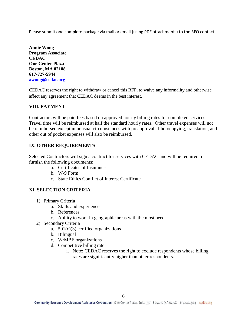Please submit one complete package via mail or email (using PDF attachments) to the RFQ contact:

**Annie Wong Program Associate CEDAC One Center Plaza Boston, MA 02108 617-727-5944 [awong@cedac.org](mailto:awong@cedac.org)**

CEDAC reserves the right to withdraw or cancel this RFP, to waive any informality and otherwise affect any agreement that CEDAC deems in the best interest.

## **VIII. PAYMENT**

Contractors will be paid fees based on approved hourly billing rates for completed services. Travel time will be reimbursed at half the standard hourly rates. Other travel expenses will not be reimbursed except in unusual circumstances with preapproval. Photocopying, translation, and other out of pocket expenses will also be reimbursed.

## **IX. OTHER REQUIREMENTS**

Selected Contractors will sign a contract for services with CEDAC and will be required to furnish the following documents:

- a. Certificates of Insurance
- b. W-9 Form
- c. State Ethics Conflict of Interest Certificate

#### **XI. SELECTION CRITERIA**

- 1) Primary Criteria
	- a. Skills and experience
	- b. References
	- c. Ability to work in geographic areas with the most need
- 2) Secondary Criteria
	- a.  $501(c)(3)$  certified organizations
	- b. Bilingual
	- c. W/MBE organizations
	- d. Competitive billing rate
		- i. Note: CEDAC reserves the right to exclude respondents whose billing rates are significantly higher than other respondents.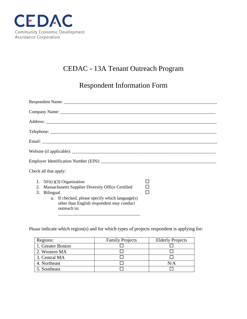

# CEDAC - 13A Tenant Outreach Program

Respondent Information Form

| Check all that apply:                                                                                                                                                                                                  |   |
|------------------------------------------------------------------------------------------------------------------------------------------------------------------------------------------------------------------------|---|
| 1. $501(c)(3)$ Organization<br>2. Massachusetts Supplier Diversity Office Certified<br>3. Bilingual<br>a. If checked, please specify which language $(s)$<br>other than English respondent may conduct<br>outreach in: | П |

Please indicate which region(s) and for which types of projects respondent is applying for:

| Regions:          | <b>Family Projects</b> | <b>Elderly Projects</b> |
|-------------------|------------------------|-------------------------|
| 1. Greater Boston |                        |                         |
| 2. Western MA     |                        |                         |
| 3. Central MA     |                        |                         |
| 4. Northeast      |                        | N/A                     |
| 5. Southeast      |                        |                         |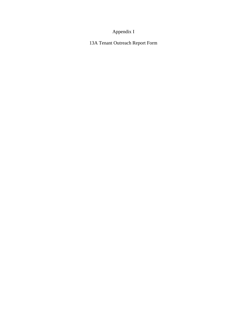# Appendix I

13A Tenant Outreach Report Form